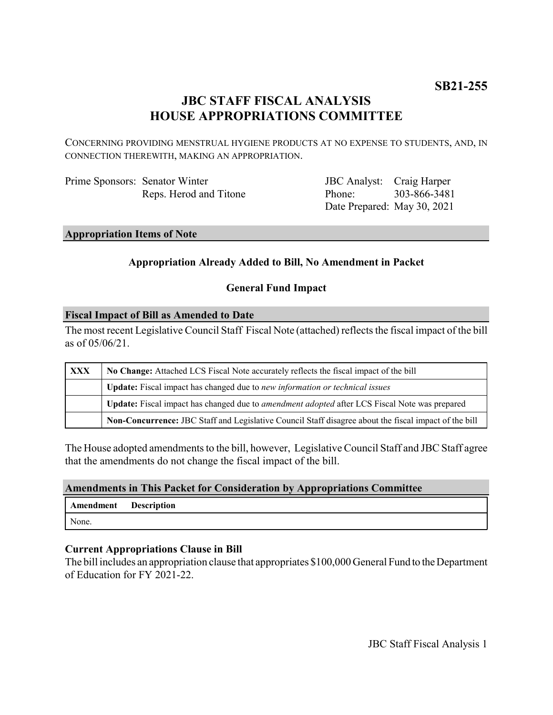# **JBC STAFF FISCAL ANALYSIS HOUSE APPROPRIATIONS COMMITTEE**

CONCERNING PROVIDING MENSTRUAL HYGIENE PRODUCTS AT NO EXPENSE TO STUDENTS, AND, IN CONNECTION THEREWITH, MAKING AN APPROPRIATION.

| Prime Sponsors: Senator Winter |                        |
|--------------------------------|------------------------|
|                                | Reps. Herod and Titone |

JBC Analyst: Craig Harper Phone: Date Prepared: May 30, 2021 303-866-3481

**Appropriation Items of Note**

## **Appropriation Already Added to Bill, No Amendment in Packet**

#### **General Fund Impact**

#### **Fiscal Impact of Bill as Amended to Date**

The most recent Legislative Council Staff Fiscal Note (attached) reflects the fiscal impact of the bill as of 05/06/21.

| XXX | No Change: Attached LCS Fiscal Note accurately reflects the fiscal impact of the bill                 |  |
|-----|-------------------------------------------------------------------------------------------------------|--|
|     | Update: Fiscal impact has changed due to new information or technical issues                          |  |
|     | Update: Fiscal impact has changed due to <i>amendment adopted</i> after LCS Fiscal Note was prepared  |  |
|     | Non-Concurrence: JBC Staff and Legislative Council Staff disagree about the fiscal impact of the bill |  |

The House adopted amendments to the bill, however, Legislative Council Staff and JBC Staff agree that the amendments do not change the fiscal impact of the bill.

#### **Amendments in This Packet for Consideration by Appropriations Committee**

| Amendment Description |  |
|-----------------------|--|
| None.                 |  |

#### **Current Appropriations Clause in Bill**

The bill includes an appropriation clause that appropriates \$100,000 General Fund to the Department of Education for FY 2021-22.